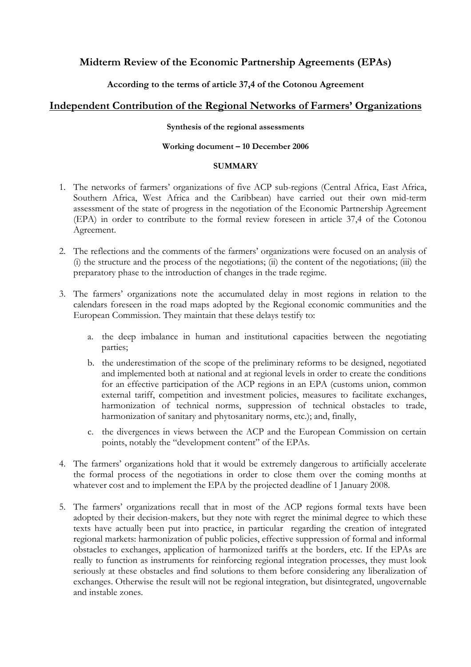# **Midterm Review of the Economic Partnership Agreements (EPAs)**

## **According to the terms of article 37,4 of the Cotonou Agreement**

# **Independent Contribution of the Regional Networks of Farmers' Organizations**

### **Synthesis of the regional assessments**

### **Working document – 10 December 2006**

### **SUMMARY**

- 1. The networks of farmers' organizations of five ACP sub-regions (Central Africa, East Africa, Southern Africa, West Africa and the Caribbean) have carried out their own mid-term assessment of the state of progress in the negotiation of the Economic Partnership Agreement (EPA) in order to contribute to the formal review foreseen in article 37,4 of the Cotonou Agreement.
- 2. The reflections and the comments of the farmers' organizations were focused on an analysis of (i) the structure and the process of the negotiations; (ii) the content of the negotiations; (iii) the preparatory phase to the introduction of changes in the trade regime.
- 3. The farmers' organizations note the accumulated delay in most regions in relation to the calendars foreseen in the road maps adopted by the Regional economic communities and the European Commission. They maintain that these delays testify to:
	- a. the deep imbalance in human and institutional capacities between the negotiating parties;
	- b. the underestimation of the scope of the preliminary reforms to be designed, negotiated and implemented both at national and at regional levels in order to create the conditions for an effective participation of the ACP regions in an EPA (customs union, common external tariff, competition and investment policies, measures to facilitate exchanges, harmonization of technical norms, suppression of technical obstacles to trade, harmonization of sanitary and phytosanitary norms, etc.); and, finally,
	- c. the divergences in views between the ACP and the European Commission on certain points, notably the "development content" of the EPAs.
- 4. The farmers' organizations hold that it would be extremely dangerous to artificially accelerate the formal process of the negotiations in order to close them over the coming months at whatever cost and to implement the EPA by the projected deadline of 1 January 2008.
- 5. The farmers' organizations recall that in most of the ACP regions formal texts have been adopted by their decision-makers, but they note with regret the minimal degree to which these texts have actually been put into practice, in particular regarding the creation of integrated regional markets: harmonization of public policies, effective suppression of formal and informal obstacles to exchanges, application of harmonized tariffs at the borders, etc. If the EPAs are really to function as instruments for reinforcing regional integration processes, they must look seriously at these obstacles and find solutions to them before considering any liberalization of exchanges. Otherwise the result will not be regional integration, but disintegrated, ungovernable and instable zones.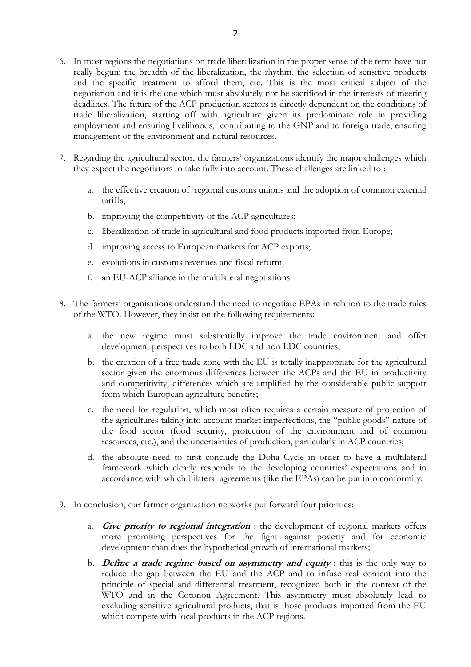- 6. In most regions the negotiations on trade liberalization in the proper sense of the term have not really begun: the breadth of the liberalization, the rhythm, the selection of sensitive products and the specific treatment to afford them, etc. This is the most critical subject of the negotiation and it is the one which must absolutely not be sacrificed in the interests of meeting deadlines. The future of the ACP production sectors is directly dependent on the conditions of trade liberalization, starting off with agriculture given its predominate role in providing employment and ensuring livelihoods, contributing to the GNP and to foreign trade, ensuring management of the environment and natural resources.
- 7. Regarding the agricultural sector, the farmers' organizations identify the major challenges which they expect the negotiators to take fully into account. These challenges are linked to :
	- a. the effective creation of regional customs unions and the adoption of common external tariffs,
	- b. improving the competitivity of the ACP agricultures;
	- c. liberalization of trade in agricultural and food products imported from Europe;
	- d. improving access to European markets for ACP exports;
	- e. evolutions in customs revenues and fiscal reform;
	- f. an EU-ACP alliance in the multilateral negotiations.
- 8. The farmers' organisations understand the need to negotiate EPAs in relation to the trade rules of the WTO. However, they insist on the following requirements:
	- a. the new regime must substantially improve the trade environment and offer development perspectives to both LDC and non LDC countries;
	- b. the creation of a free trade zone with the EU is totally inappropriate for the agricultural sector given the enormous differences between the ACPs and the EU in productivity and competitivity, differences which are amplified by the considerable public support from which European agriculture benefits;
	- c. the need for regulation, which most often requires a certain measure of protection of the agricultures taking into account market imperfections, the "public goods" nature of the food sector (food security, protection of the environment and of common resources, etc.), and the uncertainties of production, particularly in ACP countries;
	- d. the absolute need to first conclude the Doha Cycle in order to have a multilateral framework which clearly responds to the developing countries' expectations and in accordance with which bilateral agreements (like the EPAs) can be put into conformity.
- 9. In conclusion, our farmer organization networks put forward four priorities:
	- a. **Give priority to regional integration** : the development of regional markets offers more promising perspectives for the fight against poverty and for economic development than does the hypothetical growth of international markets;
	- b. **Define a trade regime based on asymmetry and equity** : this is the only way to reduce the gap between the EU and the ACP and to infuse real content into the principle of special and differential treatment, recognized both in the context of the WTO and in the Cotonou Agreement. This asymmetry must absolutely lead to excluding sensitive agricultural products, that is those products imported from the EU which compete with local products in the ACP regions.